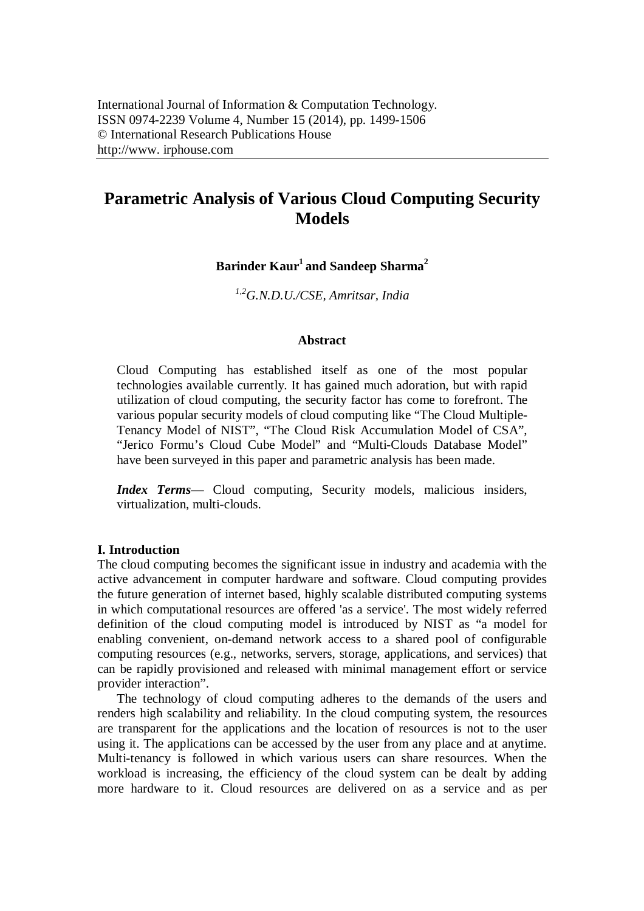# **Parametric Analysis of Various Cloud Computing Security Models**

# **Barinder Kaur<sup>1</sup> and Sandeep Sharma<sup>2</sup>**

*1,2G.N.D.U./CSE, Amritsar, India*

### **Abstract**

Cloud Computing has established itself as one of the most popular technologies available currently. It has gained much adoration, but with rapid utilization of cloud computing, the security factor has come to forefront. The various popular security models of cloud computing like "The Cloud Multiple-Tenancy Model of NIST", "The Cloud Risk Accumulation Model of CSA", "Jerico Formu's Cloud Cube Model" and "Multi-Clouds Database Model" have been surveyed in this paper and parametric analysis has been made.

*Index Terms*— Cloud computing, Security models, malicious insiders, virtualization, multi-clouds.

### **I. Introduction**

The cloud computing becomes the significant issue in industry and academia with the active advancement in computer hardware and software. Cloud computing provides the future generation of internet based, highly scalable distributed computing systems in which computational resources are offered 'as a service'. The most widely referred definition of the cloud computing model is introduced by NIST as "a model for enabling convenient, on-demand network access to a shared pool of configurable computing resources (e.g., networks, servers, storage, applications, and services) that can be rapidly provisioned and released with minimal management effort or service provider interaction".

The technology of cloud computing adheres to the demands of the users and renders high scalability and reliability. In the cloud computing system, the resources are transparent for the applications and the location of resources is not to the user using it. The applications can be accessed by the user from any place and at anytime. Multi-tenancy is followed in which various users can share resources. When the workload is increasing, the efficiency of the cloud system can be dealt by adding more hardware to it. Cloud resources are delivered on as a service and as per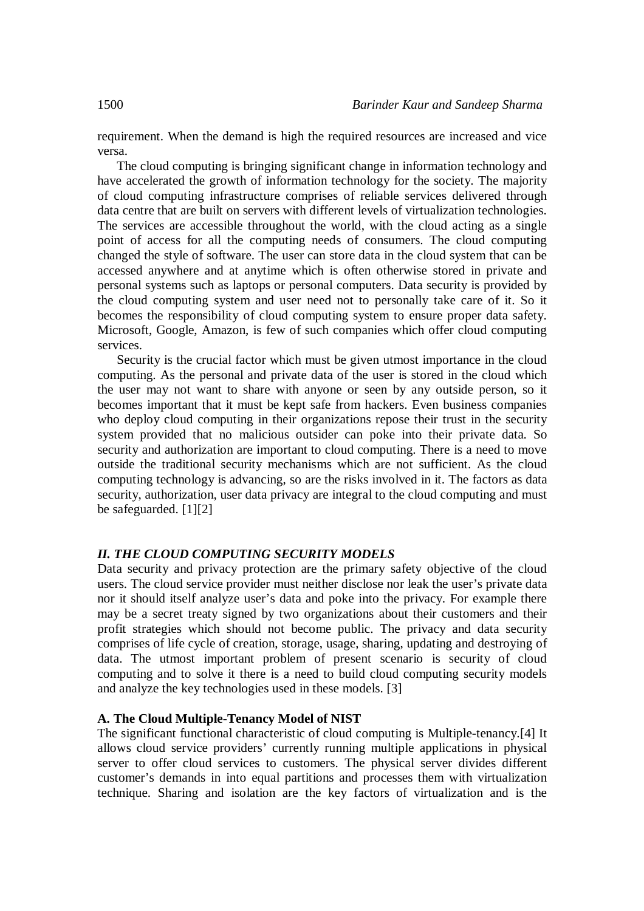requirement. When the demand is high the required resources are increased and vice versa.

The cloud computing is bringing significant change in information technology and have accelerated the growth of information technology for the society. The majority of cloud computing infrastructure comprises of reliable services delivered through data centre that are built on servers with different levels of virtualization technologies. The services are accessible throughout the world, with the cloud acting as a single point of access for all the computing needs of consumers. The cloud computing changed the style of software. The user can store data in the cloud system that can be accessed anywhere and at anytime which is often otherwise stored in private and personal systems such as laptops or personal computers. Data security is provided by the cloud computing system and user need not to personally take care of it. So it becomes the responsibility of cloud computing system to ensure proper data safety. Microsoft, Google, Amazon, is few of such companies which offer cloud computing services.

Security is the crucial factor which must be given utmost importance in the cloud computing. As the personal and private data of the user is stored in the cloud which the user may not want to share with anyone or seen by any outside person, so it becomes important that it must be kept safe from hackers. Even business companies who deploy cloud computing in their organizations repose their trust in the security system provided that no malicious outsider can poke into their private data. So security and authorization are important to cloud computing. There is a need to move outside the traditional security mechanisms which are not sufficient. As the cloud computing technology is advancing, so are the risks involved in it. The factors as data security, authorization, user data privacy are integral to the cloud computing and must be safeguarded. [1][2]

### *II. THE CLOUD COMPUTING SECURITY MODELS*

Data security and privacy protection are the primary safety objective of the cloud users. The cloud service provider must neither disclose nor leak the user's private data nor it should itself analyze user's data and poke into the privacy. For example there may be a secret treaty signed by two organizations about their customers and their profit strategies which should not become public. The privacy and data security comprises of life cycle of creation, storage, usage, sharing, updating and destroying of data. The utmost important problem of present scenario is security of cloud computing and to solve it there is a need to build cloud computing security models and analyze the key technologies used in these models. [3]

### **A. The Cloud Multiple-Tenancy Model of NIST**

The significant functional characteristic of cloud computing is Multiple-tenancy.[4] It allows cloud service providers' currently running multiple applications in physical server to offer cloud services to customers. The physical server divides different customer's demands in into equal partitions and processes them with virtualization technique. Sharing and isolation are the key factors of virtualization and is the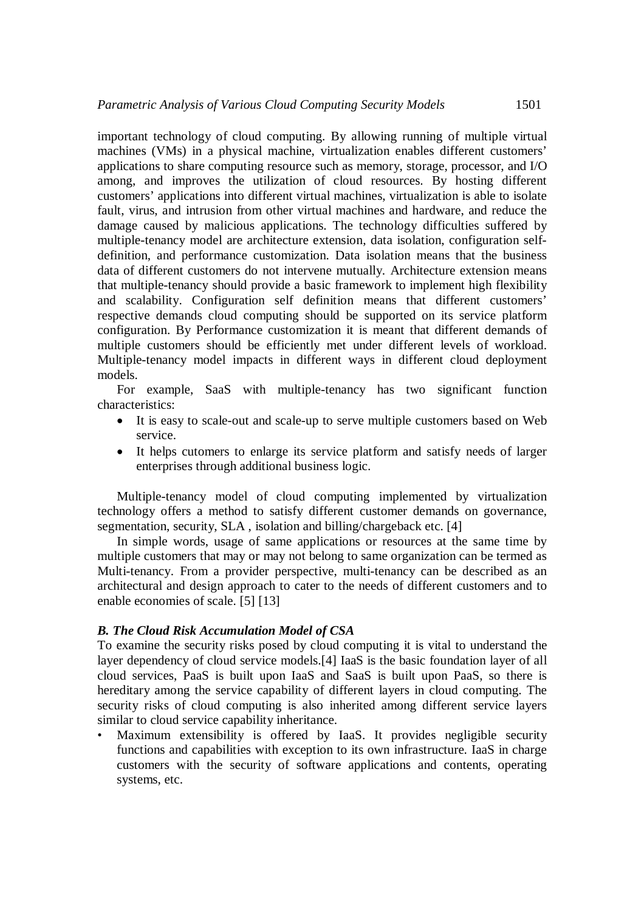important technology of cloud computing. By allowing running of multiple virtual machines (VMs) in a physical machine, virtualization enables different customers' applications to share computing resource such as memory, storage, processor, and I/O among, and improves the utilization of cloud resources. By hosting different customers' applications into different virtual machines, virtualization is able to isolate fault, virus, and intrusion from other virtual machines and hardware, and reduce the damage caused by malicious applications. The technology difficulties suffered by multiple-tenancy model are architecture extension, data isolation, configuration selfdefinition, and performance customization. Data isolation means that the business data of different customers do not intervene mutually. Architecture extension means that multiple-tenancy should provide a basic framework to implement high flexibility and scalability. Configuration self definition means that different customers' respective demands cloud computing should be supported on its service platform configuration. By Performance customization it is meant that different demands of multiple customers should be efficiently met under different levels of workload. Multiple-tenancy model impacts in different ways in different cloud deployment models.

For example, SaaS with multiple-tenancy has two significant function characteristics:

- It is easy to scale-out and scale-up to serve multiple customers based on Web service.
- It helps cutomers to enlarge its service platform and satisfy needs of larger enterprises through additional business logic.

Multiple-tenancy model of cloud computing implemented by virtualization technology offers a method to satisfy different customer demands on governance, segmentation, security, SLA , isolation and billing/chargeback etc. [4]

In simple words, usage of same applications or resources at the same time by multiple customers that may or may not belong to same organization can be termed as Multi-tenancy. From a provider perspective, multi-tenancy can be described as an architectural and design approach to cater to the needs of different customers and to enable economies of scale. [5] [13]

### *B. The Cloud Risk Accumulation Model of CSA*

To examine the security risks posed by cloud computing it is vital to understand the layer dependency of cloud service models.[4] IaaS is the basic foundation layer of all cloud services, PaaS is built upon IaaS and SaaS is built upon PaaS, so there is hereditary among the service capability of different layers in cloud computing. The security risks of cloud computing is also inherited among different service layers similar to cloud service capability inheritance.

Maximum extensibility is offered by IaaS. It provides negligible security functions and capabilities with exception to its own infrastructure. IaaS in charge customers with the security of software applications and contents, operating systems, etc.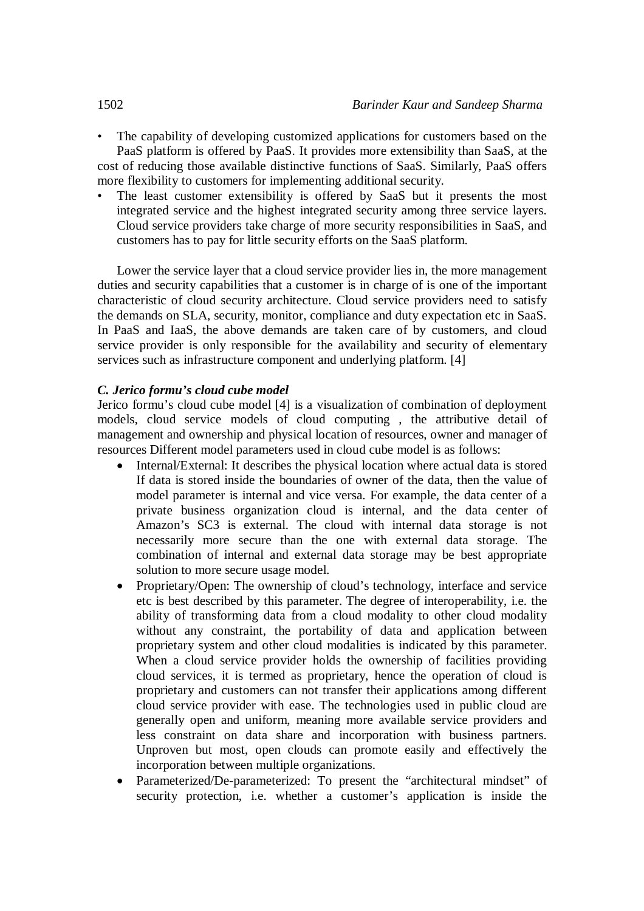- The capability of developing customized applications for customers based on the PaaS platform is offered by PaaS. It provides more extensibility than SaaS, at the cost of reducing those available distinctive functions of SaaS. Similarly, PaaS offers more flexibility to customers for implementing additional security.
- The least customer extensibility is offered by SaaS but it presents the most integrated service and the highest integrated security among three service layers. Cloud service providers take charge of more security responsibilities in SaaS, and customers has to pay for little security efforts on the SaaS platform.

Lower the service layer that a cloud service provider lies in, the more management duties and security capabilities that a customer is in charge of is one of the important characteristic of cloud security architecture. Cloud service providers need to satisfy the demands on SLA, security, monitor, compliance and duty expectation etc in SaaS. In PaaS and IaaS, the above demands are taken care of by customers, and cloud service provider is only responsible for the availability and security of elementary services such as infrastructure component and underlying platform. [4]

# *C. Jerico formu's cloud cube model*

Jerico formu's cloud cube model [4] is a visualization of combination of deployment models, cloud service models of cloud computing , the attributive detail of management and ownership and physical location of resources, owner and manager of resources Different model parameters used in cloud cube model is as follows:

- Internal/External: It describes the physical location where actual data is stored If data is stored inside the boundaries of owner of the data, then the value of model parameter is internal and vice versa. For example, the data center of a private business organization cloud is internal, and the data center of Amazon's SC3 is external. The cloud with internal data storage is not necessarily more secure than the one with external data storage. The combination of internal and external data storage may be best appropriate solution to more secure usage model.
- Proprietary/Open: The ownership of cloud's technology, interface and service etc is best described by this parameter. The degree of interoperability, i.e. the ability of transforming data from a cloud modality to other cloud modality without any constraint, the portability of data and application between proprietary system and other cloud modalities is indicated by this parameter. When a cloud service provider holds the ownership of facilities providing cloud services, it is termed as proprietary, hence the operation of cloud is proprietary and customers can not transfer their applications among different cloud service provider with ease. The technologies used in public cloud are generally open and uniform, meaning more available service providers and less constraint on data share and incorporation with business partners. Unproven but most, open clouds can promote easily and effectively the incorporation between multiple organizations.
- Parameterized/De-parameterized: To present the "architectural mindset" of security protection, i.e. whether a customer's application is inside the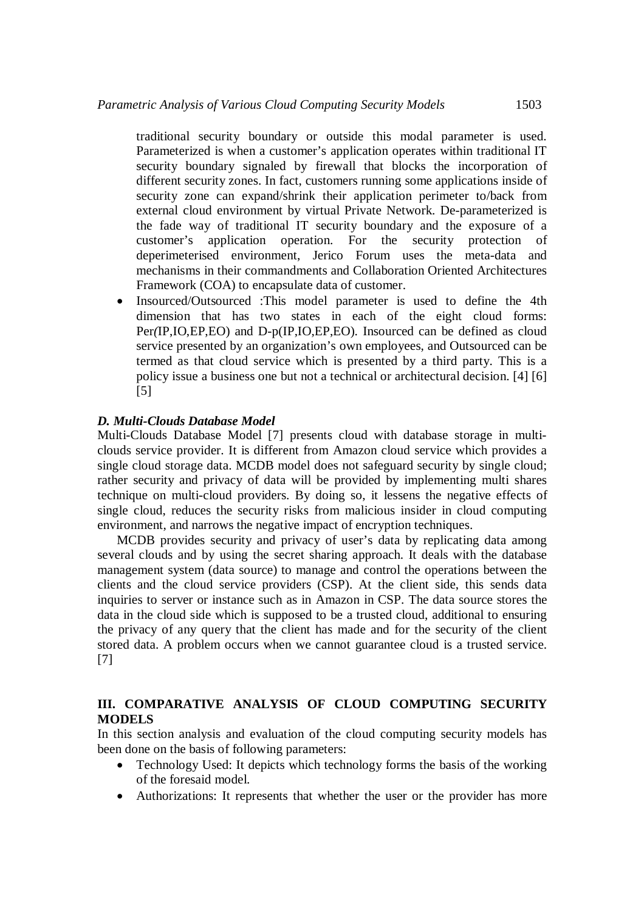traditional security boundary or outside this modal parameter is used. Parameterized is when a customer's application operates within traditional IT security boundary signaled by firewall that blocks the incorporation of different security zones. In fact, customers running some applications inside of security zone can expand/shrink their application perimeter to/back from external cloud environment by virtual Private Network. De-parameterized is the fade way of traditional IT security boundary and the exposure of a customer's application operation. For the security protection of deperimeterised environment, Jerico Forum uses the meta-data and mechanisms in their commandments and Collaboration Oriented Architectures Framework (COA) to encapsulate data of customer.

 Insourced/Outsourced :This model parameter is used to define the 4th dimension that has two states in each of the eight cloud forms: Per*(*IP,IO,EP,EO) and D-p(IP,IO,EP,EO). Insourced can be defined as cloud service presented by an organization's own employees, and Outsourced can be termed as that cloud service which is presented by a third party. This is a policy issue a business one but not a technical or architectural decision. [4] [6] [5]

# *D. Multi-Clouds Database Model*

Multi-Clouds Database Model [7] presents cloud with database storage in multiclouds service provider. It is different from Amazon cloud service which provides a single cloud storage data. MCDB model does not safeguard security by single cloud; rather security and privacy of data will be provided by implementing multi shares technique on multi-cloud providers. By doing so, it lessens the negative effects of single cloud, reduces the security risks from malicious insider in cloud computing environment, and narrows the negative impact of encryption techniques.

MCDB provides security and privacy of user's data by replicating data among several clouds and by using the secret sharing approach. It deals with the database management system (data source) to manage and control the operations between the clients and the cloud service providers (CSP). At the client side, this sends data inquiries to server or instance such as in Amazon in CSP. The data source stores the data in the cloud side which is supposed to be a trusted cloud, additional to ensuring the privacy of any query that the client has made and for the security of the client stored data. A problem occurs when we cannot guarantee cloud is a trusted service. [7]

# **III. COMPARATIVE ANALYSIS OF CLOUD COMPUTING SECURITY MODELS**

In this section analysis and evaluation of the cloud computing security models has been done on the basis of following parameters:

- Technology Used: It depicts which technology forms the basis of the working of the foresaid model.
- Authorizations: It represents that whether the user or the provider has more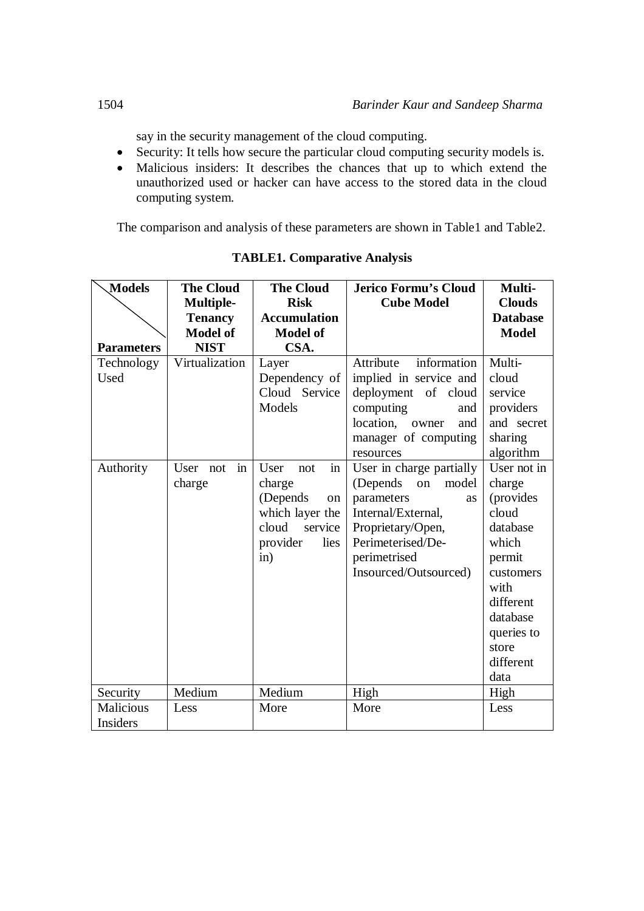say in the security management of the cloud computing.

- Security: It tells how secure the particular cloud computing security models is.
- Malicious insiders: It describes the chances that up to which extend the unauthorized used or hacker can have access to the stored data in the cloud computing system.

The comparison and analysis of these parameters are shown in Table1 and Table2.

| <b>Models</b>     | <b>The Cloud</b>   | <b>The Cloud</b>    | <b>Jerico Formu's Cloud</b> | Multi-          |
|-------------------|--------------------|---------------------|-----------------------------|-----------------|
|                   | <b>Multiple-</b>   | <b>Risk</b>         | <b>Cube Model</b>           | <b>Clouds</b>   |
|                   | <b>Tenancy</b>     | <b>Accumulation</b> |                             | <b>Database</b> |
|                   | <b>Model of</b>    | <b>Model of</b>     |                             | <b>Model</b>    |
| <b>Parameters</b> | <b>NIST</b>        | CSA.                |                             |                 |
| Technology        | Virtualization     | Layer               | information<br>Attribute    | Multi-          |
| Used              |                    | Dependency of       | implied in service and      | cloud           |
|                   |                    | Cloud Service       | deployment of cloud         | service         |
|                   |                    | Models              | computing<br>and            | providers       |
|                   |                    |                     | location,<br>owner<br>and   | and secret      |
|                   |                    |                     | manager of computing        | sharing         |
|                   |                    |                     | resources                   | algorithm       |
| Authority         | User not<br>$\sin$ | User<br>not<br>in   | User in charge partially    | User not in     |
|                   | charge             | charge              | (Depends)<br>model<br>on    | charge          |
|                   |                    | (Depends)<br>on     | parameters<br><b>as</b>     | (provides       |
|                   |                    | which layer the     | Internal/External,          | cloud           |
|                   |                    | cloud<br>service    | Proprietary/Open,           | database        |
|                   |                    | provider<br>lies    | Perimeterised/De-           | which           |
|                   |                    | in)                 | perimetrised                | permit          |
|                   |                    |                     | Insourced/Outsourced)       | customers       |
|                   |                    |                     |                             | with            |
|                   |                    |                     |                             | different       |
|                   |                    |                     |                             | database        |
|                   |                    |                     |                             | queries to      |
|                   |                    |                     |                             | store           |
|                   |                    |                     |                             | different       |
|                   |                    |                     |                             | data            |
| Security          | Medium             | Medium              | High                        | High            |
| <b>Malicious</b>  | Less               | More                | More                        | Less            |
| Insiders          |                    |                     |                             |                 |

# **TABLE1. Comparative Analysis**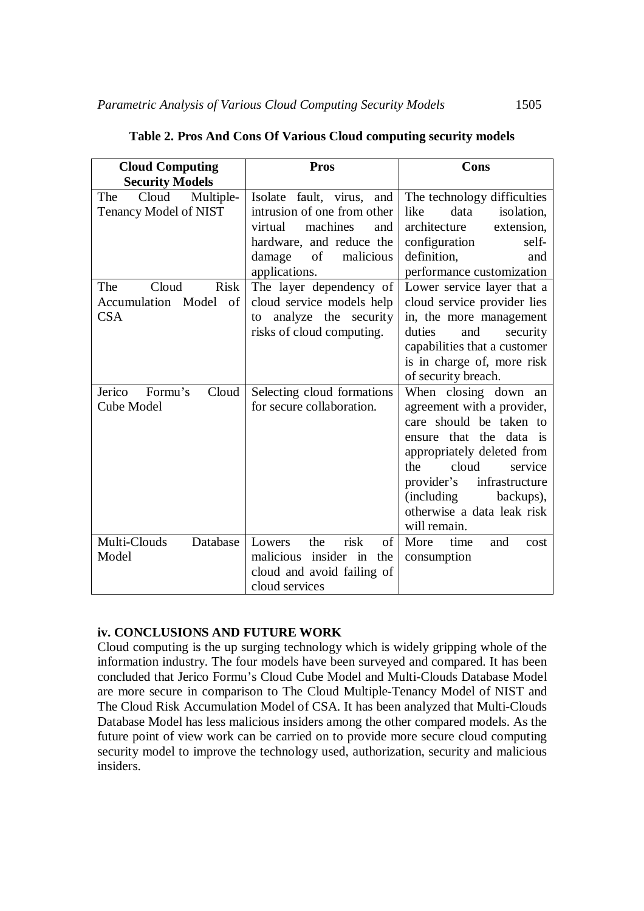| <b>Cloud Computing</b>                                                  | <b>Pros</b>                                                                                                                                                                                 | Cons                                                                                                                                                                                                                                                                               |  |
|-------------------------------------------------------------------------|---------------------------------------------------------------------------------------------------------------------------------------------------------------------------------------------|------------------------------------------------------------------------------------------------------------------------------------------------------------------------------------------------------------------------------------------------------------------------------------|--|
| <b>Security Models</b>                                                  |                                                                                                                                                                                             |                                                                                                                                                                                                                                                                                    |  |
| The<br>Cloud Multiple-<br>Tenancy Model of NIST<br>Cloud<br>Risk<br>The | Isolate fault, virus, and<br>intrusion of one from other<br>machines<br>virtual<br>and<br>hardware, and reduce the<br>of<br>malicious<br>damage<br>applications.<br>The layer dependency of | The technology difficulties<br>data<br>isolation,<br>like<br>architecture<br>extension,<br>configuration<br>self-<br>definition,<br>and<br>performance customization<br>Lower service layer that a                                                                                 |  |
| Accumulation Model of<br><b>CSA</b>                                     | cloud service models help<br>analyze the security<br>to<br>risks of cloud computing.                                                                                                        | cloud service provider lies<br>in, the more management<br>and<br>duties<br>security<br>capabilities that a customer<br>is in charge of, more risk<br>of security breach.                                                                                                           |  |
| Jerico<br>Formu's<br>Cloud<br>Cube Model                                | Selecting cloud formations<br>for secure collaboration.                                                                                                                                     | When closing down an<br>agreement with a provider,<br>care should be taken to<br>ensure that the data is<br>appropriately deleted from<br>cloud<br>the<br>service<br>provider's<br>infrastructure<br><i>(including)</i><br>backups),<br>otherwise a data leak risk<br>will remain. |  |
| Multi-Clouds<br>Database<br>Model                                       | risk<br>the<br>of<br>Lowers<br>malicious<br>insider in<br>the<br>cloud and avoid failing of<br>cloud services                                                                               | More<br>time<br>and<br>cost<br>consumption                                                                                                                                                                                                                                         |  |

**Table 2. Pros And Cons Of Various Cloud computing security models**

# **iv. CONCLUSIONS AND FUTURE WORK**

Cloud computing is the up surging technology which is widely gripping whole of the information industry. The four models have been surveyed and compared. It has been concluded that Jerico Formu's Cloud Cube Model and Multi-Clouds Database Model are more secure in comparison to The Cloud Multiple-Tenancy Model of NIST and The Cloud Risk Accumulation Model of CSA. It has been analyzed that Multi-Clouds Database Model has less malicious insiders among the other compared models. As the future point of view work can be carried on to provide more secure cloud computing security model to improve the technology used, authorization, security and malicious insiders.